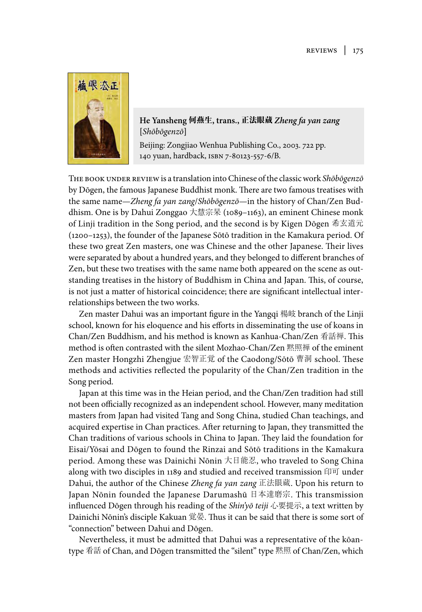

**He Yansheng** 何燕生**, trans.,** 正法眼蔵 *Zheng fa yan zang* **[***Shōbōgenzō***]** 

Beijing: Zongjiao Wenhua Publishing Co., 2003. 722 pp. 40 yuan, hardback, isbn 7-8023-557-6/B.

The book under review is a translation into Chinese of the classic work *Shōbōgenzō* by Dōgen, the famous Japanese Buddhist monk. There are two famous treatises with the same name—*Zheng fa yan zang*/*Shōbōgenzō*—in the history of Chan/Zen Buddhism. One is by Dahui Zonggao 大慧宗杲 (1089–1163), an eminent Chinese monk of Linji tradition in the Song period, and the second is by Kigen Dōgen 希玄道元 (200–253), the founder of the Japanese Sōtō tradition in the Kamakura period. Of these two great Zen masters, one was Chinese and the other Japanese. Their lives were separated by about a hundred years, and they belonged to different branches of Zen, but these two treatises with the same name both appeared on the scene as outstanding treatises in the history of Buddhism in China and Japan. This, of course, is not just a matter of historical coincidence; there are significant intellectual interrelationships between the two works.

Zen master Dahui was an important figure in the Yangqi 楊岐 branch of the Linji school, known for his eloquence and his efforts in disseminating the use of koans in Chan/Zen Buddhism, and his method is known as Kanhua-Chan/Zen 看話禅. This method is often contrasted with the silent Mozhao-Chan/Zen 黙照禅 of the eminent Zen master Hongzhi Zhengjue 宏智正覚 of the Caodong/Sōtō 曹洞 school. These methods and activities reflected the popularity of the Chan/Zen tradition in the Song period.

Japan at this time was in the Heian period, and the Chan/Zen tradition had still not been officially recognized as an independent school. However, many meditation masters from Japan had visited Tang and Song China, studied Chan teachings, and acquired expertise in Chan practices. After returning to Japan, they transmitted the Chan traditions of various schools in China to Japan. They laid the foundation for Eisai/Yōsai and Dōgen to found the Rinzai and Sōtō traditions in the Kamakura period. Among these was Dainichi Nōnin 大日能忍, who traveled to Song China along with two disciples in 1189 and studied and received transmission 印可 under Dahui, the author of the Chinese *Zheng fa yan zang* 正法眼蔵. Upon his return to Japan Nōnin founded the Japanese Darumashū 日本達磨宗. This transmission influenced Dōgen through his reading of the *Shin'yō teiji* 心要提示, a text written by Dainichi Nōnin's disciple Kakuan 覚晏. Thus it can be said that there is some sort of "connection" between Dahui and Dōgen.

Nevertheless, it must be admitted that Dahui was a representative of the kōantype 看話 of Chan, and Dōgen transmitted the "silent" type 黙照 of Chan/Zen, which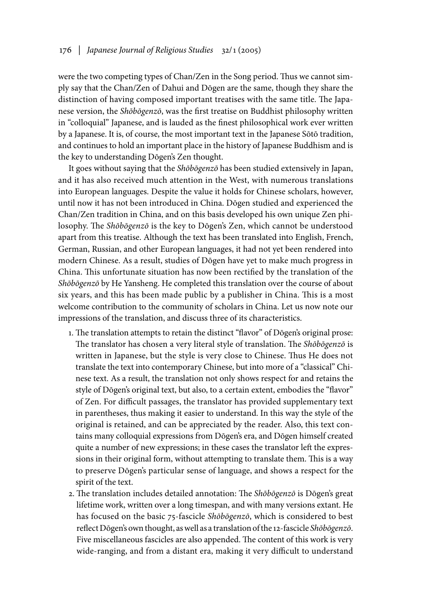were the two competing types of Chan/Zen in the Song period. Thus we cannot simply say that the Chan/Zen of Dahui and Dōgen are the same, though they share the distinction of having composed important treatises with the same title. The Japanese version, the *Shōbōgenzō*, was the first treatise on Buddhist philosophy written in "colloquial" Japanese, and is lauded as the finest philosophical work ever written by a Japanese. It is, of course, the most important text in the Japanese Sōtō tradition, and continues to hold an important place in the history of Japanese Buddhism and is the key to understanding Dōgen's Zen thought.

It goes without saying that the *Shōbōgenzō* has been studied extensively in Japan, and it has also received much attention in the West, with numerous translations into European languages. Despite the value it holds for Chinese scholars, however, until now it has not been introduced in China. Dōgen studied and experienced the Chan/Zen tradition in China, and on this basis developed his own unique Zen philosophy. The *Shōbōgenzō* is the key to Dōgen's Zen, which cannot be understood apart from this treatise. Although the text has been translated into English, French, German, Russian, and other European languages, it had not yet been rendered into modern Chinese. As a result, studies of Dōgen have yet to make much progress in China. This unfortunate situation has now been rectified by the translation of the *Shōbōgenzō* by He Yansheng. He completed this translation over the course of about six years, and this has been made public by a publisher in China. This is a most welcome contribution to the community of scholars in China. Let us now note our impressions of the translation, and discuss three of its characteristics.

- . The translation attempts to retain the distinct "flavor" of Dōgen's original prose: The translator has chosen a very literal style of translation. The *Shōbōgenzō* is written in Japanese, but the style is very close to Chinese. Thus He does not translate the text into contemporary Chinese, but into more of a "classical" Chinese text. As a result, the translation not only shows respect for and retains the style of Dōgen's original text, but also, to a certain extent, embodies the "flavor" of Zen. For difficult passages, the translator has provided supplementary text in parentheses, thus making it easier to understand. In this way the style of the original is retained, and can be appreciated by the reader. Also, this text contains many colloquial expressions from Dōgen's era, and Dōgen himself created quite a number of new expressions; in these cases the translator left the expressions in their original form, without attempting to translate them. This is a way to preserve Dōgen's particular sense of language, and shows a respect for the spirit of the text.
- 2. The translation includes detailed annotation: The *Shōbōgenzō* is Dōgen's great lifetime work, written over a long timespan, and with many versions extant. He has focused on the basic 75-fascicle *Shōbōgenzō*, which is considered to best reflect Dōgen's own thought, as well as a translation of the 2-fascicle *Shōbōgenzō*. Five miscellaneous fascicles are also appended. The content of this work is very wide-ranging, and from a distant era, making it very difficult to understand